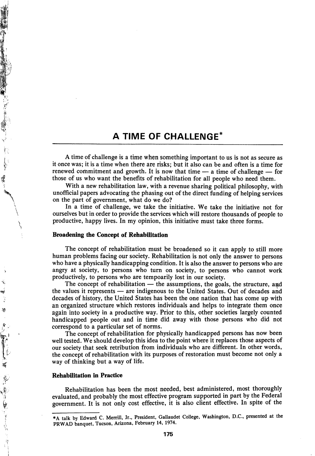## A TIME OF CHALLENGE'

A time of challenge is a time when something important to us is not as secure as it once was; it is a time when there are risks; but it also can be and often is a time for renewed commitment and growth. It is now that time  $-$  a time of challenge  $-$  for those of us who want the benefits of rehabilitation for all people who need them.

With a new rehabilitation law, with a revenue sharing political philosophy, with unofficial papers advocating the phasing out of the direct funding of helping services on the part of government, what do we do?

In a time of challenge, we take the initiative. We take the initiative not for ourselves but in order to provide the services which will restore thousands of people to productive, happy lives. In my opinion, this initiative must take three forms.

## Broadening the Concept of Rehabilitation

 $\overline{\phantom{0}}$ \

Å

化二十一五十一五十一十一五

劀

The concept of rehabilitation must be broadened so it can apply to still more human problems facing our society. Rehabilitation is not only the answer to persons who have a physically handicapping condition. It is also the answer to persons who are angry at society, to persons who turn on society, to persons who cannot work productively, to persons who are tempoarily lost in our society.

The concept of rehabilitation  $-$  the assumptions, the goals, the structure, and the values it represents — are indigenous to the United States. Out of decades and decades of history, the United States has been the one nation that has come up with an organized structure which restores individuals and helps to integrate them once again into society in a productive way. Prior to this, other societies largely counted handicapped people out and in time did away with those persons who did not correspond to a particular set of norms.

The concept of rehabilitation for physically handicapped persons has now been well tested. We should develop this idea to the point where it replaces those aspects of our society that seek retribution from individuals who are different. In other words, the concept of rehabilitation with its purposes of restoration must become not only a way of thinking but a way of life.

## **Rehabilitation in Practice**

Rehabilitation has been the most needed, best administered, most thoroughly evaluated, and probably the most effective program supported in part by the Federal government. It is not only cost effective, it is also client effective. In spite of the

<sup>\*</sup>A talk by Edward C. Merrill, Jr., President, Gallaudet College, Washington, D.C., presented at the PRWAD banquet, Tucson, Arizona, February 14, 1974.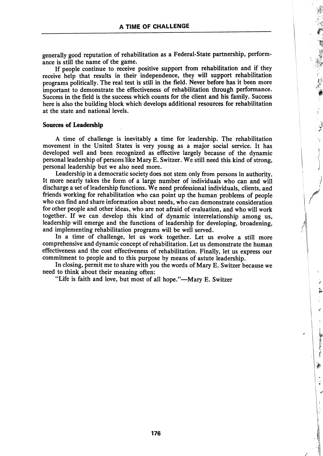generally good reputation of rehabilitation as a Federal-State partnership, perform ance is still the name of the game.

If people continue to receive positive support from rehabilitation and if they receive help that results in their independence, they will support rehabilitation programs politically. The real test is still in the field. Never before has it been more important to demonstrate the effectiveness of rehabilitation through performance. Success in the field is the success which counts for the client and his family. Success here is also the building block which develops additional resources for rehabilitation at the state and national levels.

## Sources of Leadership

A time of challenge is inevitably a time for leadership. The rehabilitation movement in the United States is very young as a major social service. It has developed well and been recognized as effective largely because of the dynamic personal leadership of persons like Mary E. Switzer. We still need this kind of strong, personal leadership but we also need more.

Leadership in a democratic society does not stem only from persons in authority. It more nearly takes the form of a large number of individuals who can and will discharge a set of leadership functions. We need professional individuals, clients, and friends working for rehabilitation who can point up the human problems of people who can find and share information about needs, who can demonstrate consideration for other people and other ideas, who are not afraid of evaluation, and who will work together. If we can develop this kind of dynamic interrelationship among us, leadership will emerge and the functions of leadership for developing, broadening, and implementing rehabilitation programs will be well served.

In a time of challenge, let us work together. Let us evolve a still more comprehensive and dynamic concept of rehabilitation. Let us demonstrate the human effectiveness and the cost effectiveness of rehabilitation. Finally, let us express our commitment to people and to this purpose by means of astute leadership.

In closing, permit me to share with you the words of Mary E. Switzer because we need to think about their meaning often:

"Life is faith and love, but most of all hope."—Mary E. Switzer

渝

ႏ